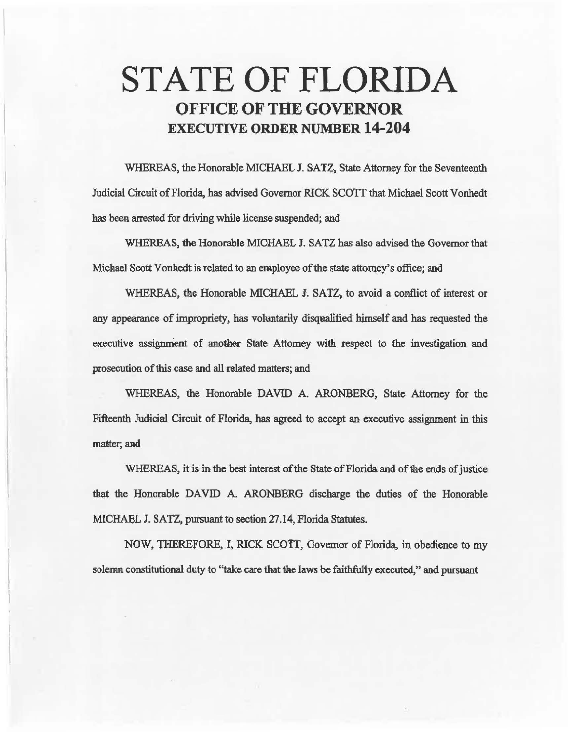# STATE OF FLORIDA OFFICE OF THE GOVERNOR EXECUTIVE ORDER NUMBER 14-204

WHEREAS, the Honorable MICHAEL J. SATZ, State Attorney for the Seventeenth Judicial Circuit of Florida, has advised Governor RICK SCOIT that Michael Scott Vonhedt has been arrested for driving while license suspended; and

WHEREAS, the Honorable MICHAEL J. SATZ has also advised the Governor that Michae1 Scott Vonhedt is related to an employee of the state attomey' s office; and

WHEREAS, the Honorable MICHAEL J. SATZ, to avoid a conflict of interest or any appearance of impropriety, has voluntarily disqualified himself and has requested the executive assignment of another State Attorney with respect to the investigation and prosecution of this case and all related matters; and

WHEREAS, the Honorable DAVID A. ARONBERG, State Attorney for the Fifteenth Judicial Circuit of Florida, has agreed to accept an executive assignment in this matter; and

WHEREAS, it is in the best interest of the State of Florida and of the ends of justice that the Honorable DAVID A. ARONBERG discharge the duties of the Honorable MICHAEL J. *SATZ,* pursuant to section 27.14, Florida Statutes.

NOW, THEREFORE, I, RICK SCOTI, Governor of Florida, in obedience to my solenm constitutional duty to "take care that the laws be faithfully executed," and pursuant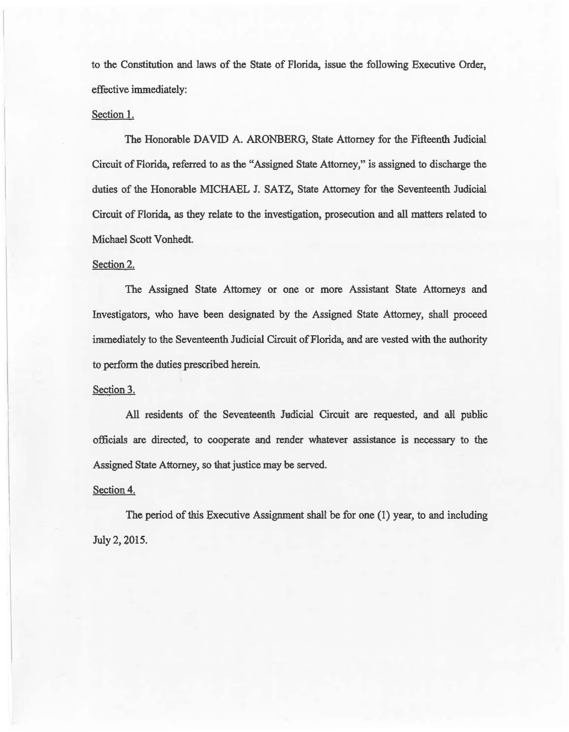to the Constitution and laws of the State of Florida, issue the following Executive Order, effective immediately:

#### Section 1.

The Honorable DAVID A. ARONBERG, State Attorney for the Fifteenth Judicial Circuit of Florida, referred to as the "Assigned State Attorney," is assigned to discharge the duties of the Honorable MICHAEL J. SATZ, State Attorney for the Seventeenth Judicial Circuit of Florida, as they relate to the investigation, prosecution and all matters related to Michael Scott Vonhedt.

## Section 2.

The Assigned State Attorney or one or more Assistant State Attorneys and Investigators, who have been designated by the Assigned State Attorney, shalil proceed immediately to the Seventeenth Judicial Circuit of Florida, and are vested with the authority to perform the duties prescribed herein.

#### Section 3.

All residents of the Seventeenth Judicial Circuit are requested, and all public officials are directed, to cooperate and render whatever assistance is necessary to the Assigned State Attorney, so 1hat justice may be served.

## Section 4.

The period of this Executive Assignment shall be for one (1) year, to and including July 2, 2015.